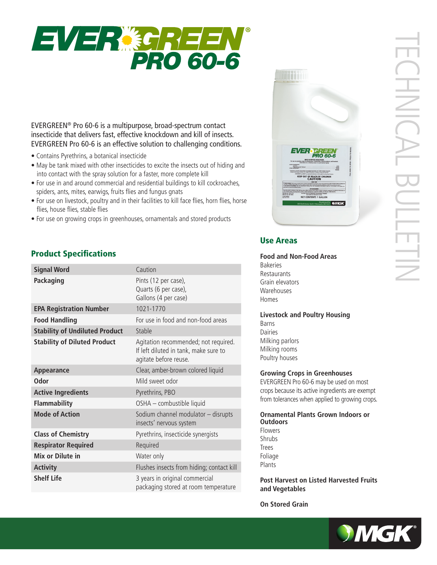

EVERGREEN® Pro 60-6 is a multipurpose, broad-spectrum contact insecticide that delivers fast, effective knockdown and kill of insects. EVERGREEN Pro 60-6 is an effective solution to challenging conditions.

- Contains Pyrethrins, a botanical insecticide
- May be tank mixed with other insecticides to excite the insects out of hiding and into contact with the spray solution for a faster, more complete kill
- For use in and around commercial and residential buildings to kill cockroaches, spiders, ants, mites, earwigs, fruits flies and fungus gnats
- For use on livestock, poultry and in their facilities to kill face flies, horn flies, horse flies, house flies, stable flies
- For use on growing crops in greenhouses, ornamentals and stored products

# Product Specifications

| <b>Signal Word</b>                    | Caution                                                                                                |
|---------------------------------------|--------------------------------------------------------------------------------------------------------|
| <b>Packaging</b>                      | Pints (12 per case),<br>Quarts (6 per case),<br>Gallons (4 per case)                                   |
| <b>EPA Registration Number</b>        | 1021-1770                                                                                              |
| <b>Food Handling</b>                  | For use in food and non-food areas                                                                     |
| <b>Stability of Undiluted Product</b> | Stable                                                                                                 |
| <b>Stability of Diluted Product</b>   | Agitation recommended; not required.<br>If left diluted in tank, make sure to<br>agitate before reuse. |
| Appearance                            | Clear, amber-brown colored liquid                                                                      |
| Odor                                  | Mild sweet odor                                                                                        |
| <b>Active Ingredients</b>             | Pyrethrins, PBO                                                                                        |
| <b>Flammability</b>                   | OSHA - combustible liquid                                                                              |
| <b>Mode of Action</b>                 | Sodium channel modulator - disrupts<br>insects' nervous system                                         |
| <b>Class of Chemistry</b>             | Pyrethrins, insecticide synergists                                                                     |
| <b>Respirator Required</b>            | Required                                                                                               |
| Mix or Dilute in                      | Water only                                                                                             |
| <b>Activity</b>                       | Flushes insects from hiding; contact kill                                                              |
| <b>Shelf Life</b>                     | 3 years in original commercial<br>packaging stored at room temperature                                 |



# Use Areas

**Food and Non-Food Areas**  Bakeries Restaurants Grain elevators **Warehouses** Homes

### **Livestock and Poultry Housing**

Barns Dairies Milking parlors Milking rooms Poultry houses

### **Growing Crops in Greenhouses**

EVERGREEN Pro 60-6 may be used on most crops because its active ingredients are exempt from tolerances when applied to growing crops.

**Ornamental Plants Grown Indoors or Outdoors** Flowers Shrubs

Trees Foliage Plants

**Post Harvest on Listed Harvested Fruits and Vegetables**

**On Stored Grain**